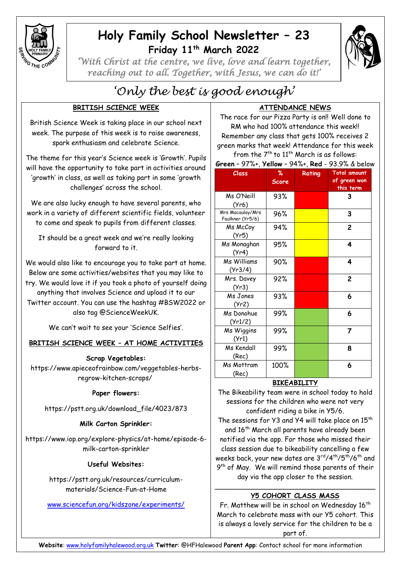

## **Holy Family School Newsletter – 23 Friday 11th March 2022**



*'With Christ at the centre, we live, love and learn together, reaching out to all. Together, with Jesus, we can do it!'* 

# *'Only the best is good enough'*

## **BRITISH SCIENCE WEEK**

British Science Week is taking place in our school next week. The purpose of this week is to raise awareness, spark enthusiasm and celebrate Science.

The theme for this year's Science week is 'Growth'. Pupils will have the opportunity to take part in activities around 'growth' in class, as well as taking part in some 'growth challenges' across the school.

We are also lucky enough to have several parents, who work in a variety of different scientific fields, volunteer to come and speak to pupils from different classes.

It should be a great week and we're really looking forward to it.

We would also like to encourage you to take part at home. Below are some activities/websites that you may like to try. We would love it if you took a photo of yourself doing anything that involves Science and upload it to our Twitter account. You can use the hashtag #BSW2022 or also tag @ScienceWeekUK.

We can't wait to see your 'Science Selfies'.

## **BRITISH SCIENCE WEEK – AT HOME ACTIVITIES**

**Scrap Vegetables:** 

[https://www.apieceofrainbow.com/veggetables-herbs](https://www.apieceofrainbow.com/veggetables-herbs-regrow-kitchen-scraps/)[regrow-kitchen-scraps/](https://www.apieceofrainbow.com/veggetables-herbs-regrow-kitchen-scraps/)

## **Paper flowers:**

[https://pstt.org.uk/download\\_file/4023/873](https://pstt.org.uk/download_file/4023/873)

## **Milk Carton Sprinkler:**

[https://www.iop.org/explore-physics/at-home/episode-6](https://www.iop.org/explore-physics/at-home/episode-6-milk-carton-sprinkler) [milk-carton-sprinkler](https://www.iop.org/explore-physics/at-home/episode-6-milk-carton-sprinkler)

## **Useful Websites:**

[https://pstt.org.uk/resources/curriculum](https://pstt.org.uk/resources/curriculum-materials/Science-Fun-at-Home)[materials/Science-Fun-at-Home](https://pstt.org.uk/resources/curriculum-materials/Science-Fun-at-Home)

[www.sciencefun.org/kidszone/experiments/](http://www.sciencefun.org/kidszone/experiments/)

## **ATTENDANCE NEWS**

The race for our Pizza Party is on!! Well done to RM who had 100% attendance this week!! Remember any class that gets 100% receives 2 green marks that week! Attendance for this week from the  $7<sup>th</sup>$  to  $11<sup>th</sup>$  March is as follows:

**Green** – 97%+, **Yellow** – 94%+, **Red** - 93.9% & below

| Class                                | %<br><b>Score</b> | Rating | <b>Total amount</b><br>of green won<br>this term |
|--------------------------------------|-------------------|--------|--------------------------------------------------|
| Ms O'Neill<br>(Yr6)                  | 93%               |        | 3                                                |
| Mrs Macaulay/Mrs<br>Faulkner (Yr5/6) | 96%               |        | 3                                                |
| Ms McCoy<br>(Yr5)                    | 94%               |        | 2                                                |
| Ms Monaghan<br>(Yr4)                 | 95%               |        | 4                                                |
| Ms Williams<br>(Yr3/4)               | 90%               |        | 4                                                |
| Mrs. Davey<br>(Yr3)                  | 92%               |        | 2                                                |
| Ms Jones<br>(Yr2)                    | 93%               |        | 6                                                |
| Ms Donohue<br>(Yr1/2)                | 99%               |        | 6                                                |
| Ms Wiggins<br>(Yr1)                  | 99%               |        | 7                                                |
| Ms Kendall<br>(Rec)                  | 99%               |        | 8                                                |
| Ms Mottram<br>(Rec)                  | 100%              |        | 6                                                |

## **BIKEABILITY**

The Bikeability team were in school today to hold sessions for the children who were not very confident riding a bike in Y5/6.

The sessions for Y3 and Y4 will take place on 15<sup>th</sup> and 16<sup>th</sup> March all parents have already been notified via the app. For those who missed their class session due to bikeability cancelling a few weeks back, your new dates are 3rd/4th/5th/6th and 9<sup>th</sup> of May. We will remind those parents of their day via the app closer to the session.

#### \_\_\_\_\_\_\_\_\_\_\_\_\_\_\_\_\_\_\_\_\_\_\_\_\_\_\_\_\_\_\_\_\_\_\_\_\_\_ **Y5 COHORT CLASS MASS**

Fr. Matthew will be in school on Wednesday  $16<sup>th</sup>$ March to celebrate mass with our Y5 cohort. This is always a lovely service for the children to be a part of.

**Website**: [www.holyfamilyhalewood.org.uk](http://www.holyfamilyhalewood.org.uk/) **Twitter**: @HFHalewood **Parent App**: Contact school for more information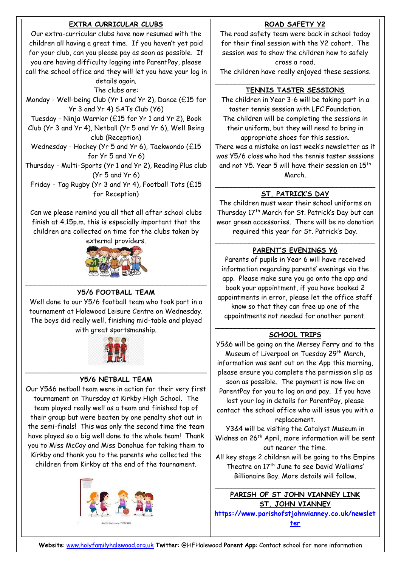## **EXTRA CURRICULAR CLUBS**

Our extra-curricular clubs have now resumed with the children all having a great time. If you haven't yet paid for your club, can you please pay as soon as possible. If you are having difficulty logging into ParentPay, please call the school office and they will let you have your log in

details again. The clubs are:

Monday - Well-being Club (Yr 1 and Yr 2), Dance (£15 for Yr 3 and Yr 4) SATs Club (Y6)

Tuesday - Ninja Warrior (£15 for Yr 1 and Yr 2), Book

Club (Yr 3 and Yr 4), Netball (Yr 5 and Yr 6), Well Being club (Reception)

Wednesday - Hockey (Yr 5 and Yr 6), Taekwondo (£15 for Yr 5 and Yr 6)

Thursday - Multi-Sports (Yr 1 and Yr 2), Reading Plus club (Yr 5 and Yr 6) Friday - Tag Rugby (Yr 3 and Yr 4), Football Tots (£15

for Reception)

Can we please remind you all that all after school clubs finish at 4.15p.m. this is especially important that the children are collected on time for the clubs taken by



#### $\mathcal{L}_\text{max}$  , which is a set of the set of the set of the set of the set of the set of the set of the set of the set of the set of the set of the set of the set of the set of the set of the set of the set of the set of **Y5/6 FOOTBALL TEAM**

Well done to our Y5/6 football team who took part in a tournament at Halewood Leisure Centre on Wednesday. The boys did really well, finishing mid-table and played with great sportsmanship.



#### \_\_\_\_\_\_\_\_\_\_\_\_\_\_\_\_\_\_\_\_\_\_\_\_\_\_\_\_\_\_\_\_\_\_\_\_\_\_\_\_\_\_\_ **Y5/6 NETBALL TEAM**

Our Y5&6 netball team were in action for their very first tournament on Thursday at Kirkby High School. The team played really well as a team and finished top of their group but were beaten by one penalty shot out in the semi-finals! This was only the second time the team have played so a big well done to the whole team! Thank you to Miss McCoy and Miss Donohue for taking them to Kirkby and thank you to the parents who collected the children from Kirkby at the end of the tournament.



## **ROAD SAFETY Y2**

The road safety team were back in school today for their final session with the Y2 cohort. The session was to show the children how to safely cross a road.

The children have really enjoyed these sessions.

#### \_\_\_\_\_\_\_\_\_\_\_\_\_\_\_\_\_\_\_\_\_\_\_\_\_\_\_\_\_\_\_\_\_\_\_\_\_\_ **TENNIS TASTER SESSIONS**

The children in Year 3-6 will be taking part in a taster tennis session with LFC Foundation. The children will be completing the sessions in their uniform, but they will need to bring in appropriate shoes for this session.

There was a mistake on last week's newsletter as it was Y5/6 class who had the tennis taster sessions and not Y5. Year 5 will have their session on 15<sup>th</sup> March.

#### \_\_\_\_\_\_\_\_\_\_\_\_\_\_\_\_\_\_\_\_\_\_\_\_\_\_\_\_\_\_\_\_\_\_\_\_\_\_ **ST. PATRICK'S DAY**

The children must wear their school uniforms on Thursday 17<sup>th</sup> March for St. Patrick's Day but can wear green accessories. There will be no donation required this year for St. Patrick's Day.

#### \_\_\_\_\_\_\_\_\_\_\_\_\_\_\_\_\_\_\_\_\_\_\_\_\_\_\_\_\_\_\_\_\_\_\_\_\_\_ **PARENT'S EVENINGS Y6**

Parents of pupils in Year 6 will have received information regarding parents' evenings via the app. Please make sure you go onto the app and book your appointment, if you have booked 2 appointments in error, please let the office staff know so that they can free up one of the appointments not needed for another parent.

#### \_\_\_\_\_\_\_\_\_\_\_\_\_\_\_\_\_\_\_\_\_\_\_\_\_\_\_\_\_\_\_\_\_\_\_\_\_\_ **SCHOOL TRIPS**

Y5&6 will be going on the Mersey Ferry and to the Museum of Liverpool on Tuesday 29<sup>th</sup> March, information was sent out on the App this morning, please ensure you complete the permission slip as soon as possible. The payment is now live on ParentPay for you to log on and pay. If you have lost your log in details for ParentPay, please contact the school office who will issue you with a replacement.

Y3&4 will be visiting the Catalyst Museum in Widnes on 26<sup>th</sup> April, more information will be sent out nearer the time.

All key stage 2 children will be going to the Empire Theatre on 17<sup>th</sup> June to see David Walliams' Billionaire Boy. More details will follow.

\_\_\_\_\_\_\_\_\_\_\_\_\_\_\_\_\_\_\_\_\_\_\_\_\_\_\_\_\_\_\_\_\_\_\_\_\_\_

**PARISH OF ST JOHN VIANNEY LINK ST. JOHN VIANNEY [https://www.parishofstjohnvianney.co.uk/newslet](https://www.parishofstjohnvianney.co.uk/newsletter) [ter](https://www.parishofstjohnvianney.co.uk/newsletter)**

**Website**: [www.holyfamilyhalewood.org.uk](http://www.holyfamilyhalewood.org.uk/) **Twitter**: @HFHalewood **Parent App**: Contact school for more information